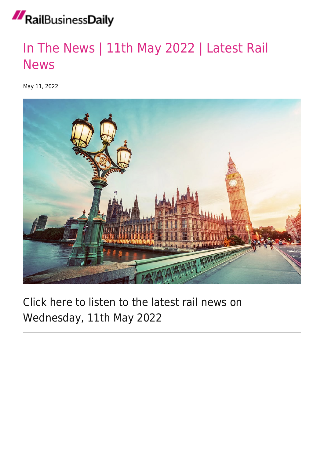## RailBusinessDaily

### [In The News | 11th May 2022 | Latest Rail](https://news.railbusinessdaily.com/in-the-news-11-05-22/) [News](https://news.railbusinessdaily.com/in-the-news-11-05-22/)

May 11, 2022



#### Click here to listen to the latest rail news on Wednesday, 11th May 2022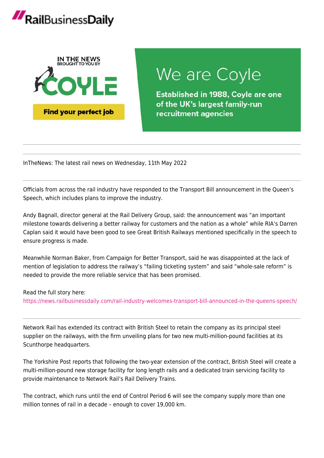## RailBusinessDaily



## We are Coyle

**Established in 1988, Coyle are one** of the UK's largest family-run recruitment agencies

InTheNews: The latest rail news on Wednesday, 11th May 2022

Officials from across the rail industry have responded to the Transport Bill announcement in the Queen's Speech, which includes plans to improve the industry.

Andy Bagnall, director general at the Rail Delivery Group, said: the announcement was "an important milestone towards delivering a better railway for customers and the nation as a whole" while RIA's Darren Caplan said it would have been good to see Great British Railways mentioned specifically in the speech to ensure progress is made.

Meanwhile Norman Baker, from Campaign for Better Transport, said he was disappointed at the lack of mention of legislation to address the railway's "failing ticketing system" and said "whole-sale reform" is needed to provide the more reliable service that has been promised.

Read the full story here:

<https://news.railbusinessdaily.com/rail-industry-welcomes-transport-bill-announced-in-the-queens-speech/>

Network Rail has extended its contract with British Steel to retain the company as its principal steel supplier on the railways, with the firm unveiling plans for two new multi-million-pound facilities at its Scunthorpe headquarters.

The Yorkshire Post reports that following the two-year extension of the contract, British Steel will create a multi-million-pound new storage facility for long length rails and a dedicated train servicing facility to provide maintenance to Network Rail's Rail Delivery Trains.

The contract, which runs until the end of Control Period 6 will see the company supply more than one million tonnes of rail in a decade – enough to cover 19,000 km.